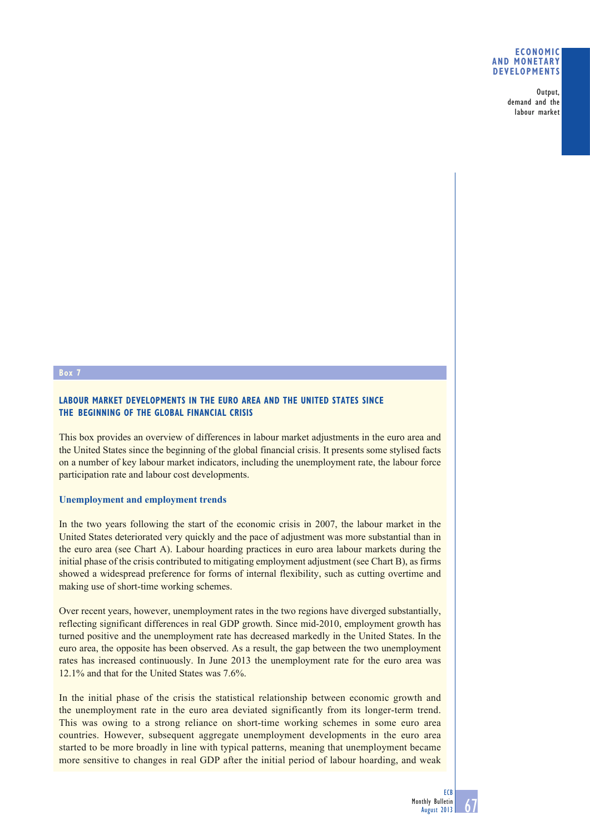### **ECONOMIC AND MONETARY DEVELOPMENTS**

Output, demand and the labour market

## **Box 7**

## **LABOUR MARKET DEVELOPMENTS IN THE EURO AREA AND THE UNITED STATES SINCE THE BEGINNING OF THE GLOBAL FINANCIAL CRISIS**

This box provides an overview of differences in labour market adjustments in the euro area and the United States since the beginning of the global financial crisis. It presents some stylised facts on a number of key labour market indicators, including the unemployment rate, the labour force participation rate and labour cost developments.

### **Unemployment and employment trends**

In the two years following the start of the economic crisis in 2007, the labour market in the United States deteriorated very quickly and the pace of adjustment was more substantial than in the euro area (see Chart A). Labour hoarding practices in euro area labour markets during the initial phase of the crisis contributed to mitigating employment adjustment (see Chart B), as firms showed a widespread preference for forms of internal flexibility, such as cutting overtime and making use of short-time working schemes.

Over recent years, however, unemployment rates in the two regions have diverged substantially, reflecting significant differences in real GDP growth. Since mid-2010, employment growth has turned positive and the unemployment rate has decreased markedly in the United States. In the euro area, the opposite has been observed. As a result, the gap between the two unemployment rates has increased continuously. In June 2013 the unemployment rate for the euro area was 12.1% and that for the United States was 7.6%.

In the initial phase of the crisis the statistical relationship between economic growth and the unemployment rate in the euro area deviated significantly from its longer-term trend. This was owing to a strong reliance on short-time working schemes in some euro area countries. However, subsequent aggregate unemployment developments in the euro area started to be more broadly in line with typical patterns, meaning that unemployment became more sensitive to changes in real GDP after the initial period of labour hoarding, and weak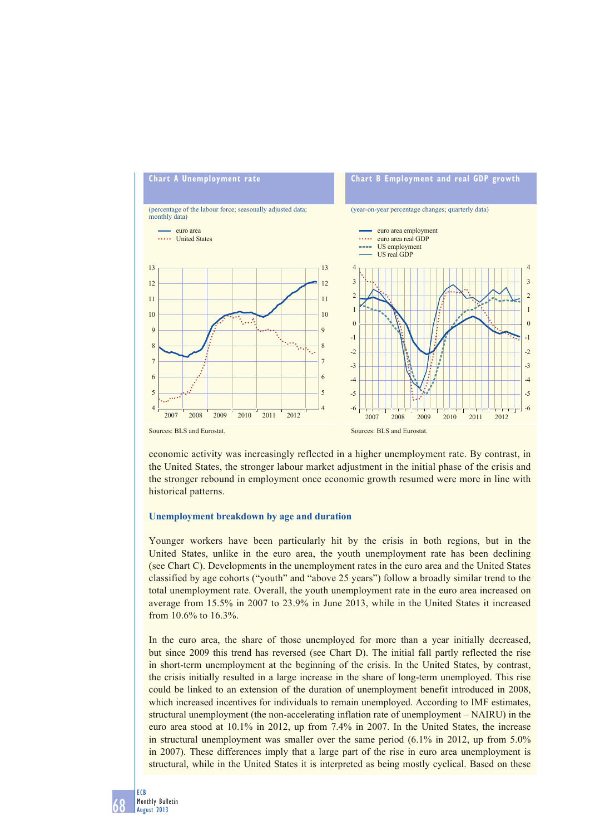

economic activity was increasingly reflected in a higher unemployment rate. By contrast, in the United States, the stronger labour market adjustment in the initial phase of the crisis and the stronger rebound in employment once economic growth resumed were more in line with historical patterns.

### **Unemployment breakdown by age and duration**

Younger workers have been particularly hit by the crisis in both regions, but in the United States, unlike in the euro area, the youth unemployment rate has been declining (see Chart C). Developments in the unemployment rates in the euro area and the United States classified by age cohorts ("youth" and "above 25 years") follow a broadly similar trend to the total unemployment rate. Overall, the youth unemployment rate in the euro area increased on average from 15.5% in 2007 to 23.9% in June 2013, while in the United States it increased from 10.6% to 16.3%.

In the euro area, the share of those unemployed for more than a year initially decreased, but since 2009 this trend has reversed (see Chart D). The initial fall partly reflected the rise in short-term unemployment at the beginning of the crisis. In the United States, by contrast, the crisis initially resulted in a large increase in the share of long-term unemployed. This rise could be linked to an extension of the duration of unemployment benefit introduced in 2008, which increased incentives for individuals to remain unemployed. According to IMF estimates, structural unemployment (the non-accelerating inflation rate of unemployment – NAIRU) in the euro area stood at 10.1% in 2012, up from 7.4% in 2007. In the United States, the increase in structural unemployment was smaller over the same period (6.1% in 2012, up from 5.0% in 2007). These differences imply that a large part of the rise in euro area unemployment is structural, while in the United States it is interpreted as being mostly cyclical. Based on these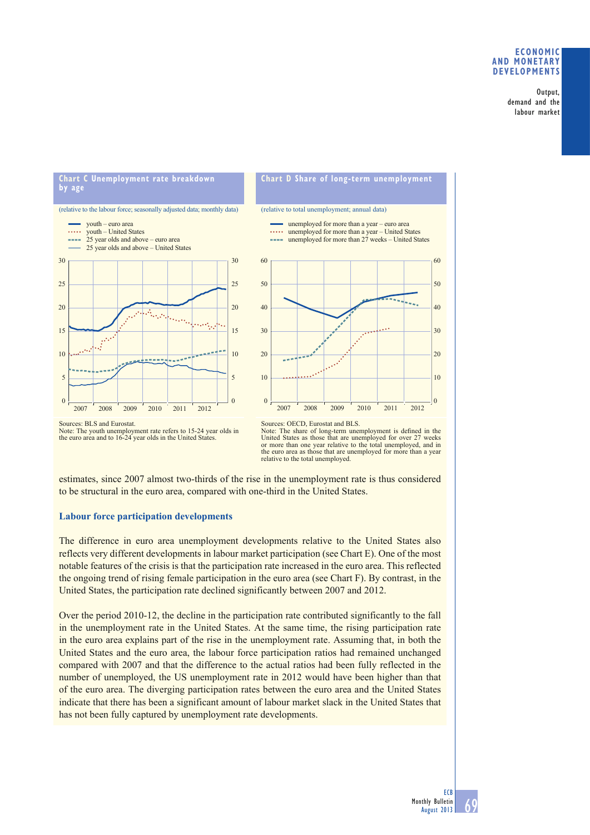### **ECONOMIC AND MONETARY DEVELOPMENTS**

Output, demand and the labour market

## **Chart C Unemployment rate breakdown by age**

# (relative to the labour force; seasonally adjusted data; monthly data)



# **Chart D Share of long-term unemployment**

#### (relative to total unemployment; annual data)



Sources: BLS and Eurostat. Note: The youth unemployment rate refers to 15-24 year olds in the euro area and to 16-24 year olds in the United States.

Note: The share of long-term unemployment is defined in the United States as those that are unemployed for over 27 weeks or more than one year relative to the total unemployed, and in the euro area as those that are unemployed for more than a year relative to the total unemployed.

estimates, since 2007 almost two-thirds of the rise in the unemployment rate is thus considered to be structural in the euro area, compared with one-third in the United States.

## **Labour force participation developments**

The difference in euro area unemployment developments relative to the United States also reflects very different developments in labour market participation (see Chart E). One of the most notable features of the crisis is that the participation rate increased in the euro area. This reflected the ongoing trend of rising female participation in the euro area (see Chart F). By contrast, in the United States, the participation rate declined significantly between 2007 and 2012.

Over the period 2010-12, the decline in the participation rate contributed significantly to the fall in the unemployment rate in the United States. At the same time, the rising participation rate in the euro area explains part of the rise in the unemployment rate. Assuming that, in both the United States and the euro area, the labour force participation ratios had remained unchanged compared with 2007 and that the difference to the actual ratios had been fully reflected in the number of unemployed, the US unemployment rate in 2012 would have been higher than that of the euro area. The diverging participation rates between the euro area and the United States indicate that there has been a significant amount of labour market slack in the United States that has not been fully captured by unemployment rate developments.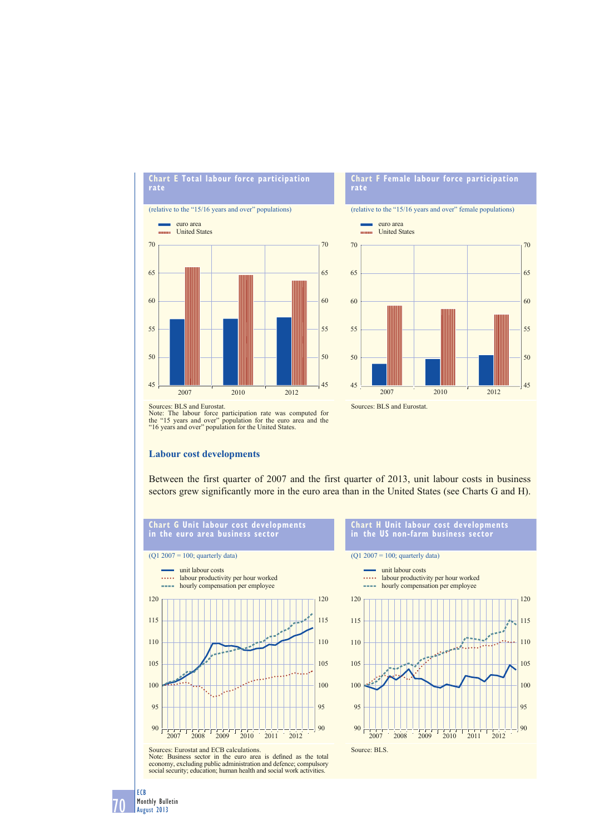

### **Chart F Female labour force participation rate**

(relative to the "15/16 years and over" female populations)



Sources: BLS and Eurostat.



Sources: BLS and Eurostat.

Note: The labour force participation rate was computed for the "15 years and over" population for the euro area and the "16 years and over" population for the United States.

### **Labour cost developments**

Between the first quarter of 2007 and the first quarter of 2013, unit labour costs in business sectors grew significantly more in the euro area than in the United States (see Charts G and H).



#### **Chart H Unit labour cost developments in the US non-farm business sector**

unit labour costs  $\ldots$ labour productivity per hour worked **Service** hourly compensation per employee

120



Sources: Eurostat and ECB calculations.<br>Note: Business sector in the euro area is defined as the total<br>economy, excluding public administration and defence; compulsory<br>social security; education; human health and social wo

70

ECB Monthly Bulletin August 2013